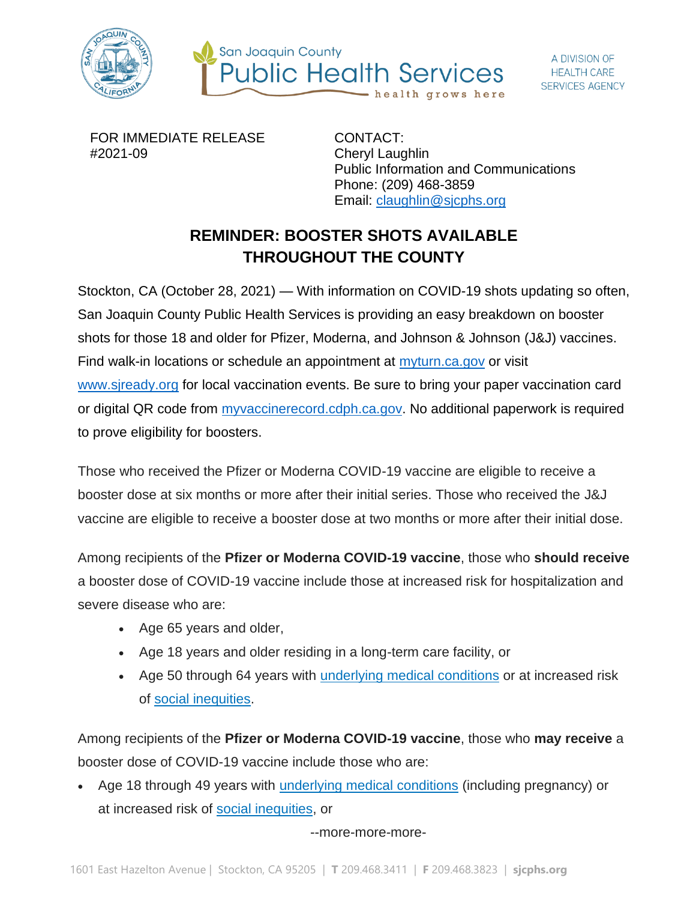



FOR IMMEDIATE RELEASE #2021-09

CONTACT: Cheryl Laughlin Public Information and Communications Phone: (209) 468-3859 Email: [claughlin@sjcphs.org](mailto:claughlin@sjcphs.org)

## **REMINDER: BOOSTER SHOTS AVAILABLE THROUGHOUT THE COUNTY**

Stockton, CA (October 28, 2021) — With information on COVID-19 shots updating so often, San Joaquin County Public Health Services is providing an easy breakdown on booster shots for those 18 and older for Pfizer, Moderna, and Johnson & Johnson (J&J) vaccines. Find walk-in locations or schedule an appointment at [myturn.ca.gov](http://myturn.ca.gov/) or visit [www.sjready.org](http://www.sjready.org/) for local vaccination events. Be sure to bring your paper vaccination card or digital QR code from [myvaccinerecord.cdph.ca.gov.](https://myvaccinerecord.cdph.ca.gov/) No additional paperwork is required to prove eligibility for boosters.

Those who received the Pfizer or Moderna COVID-19 vaccine are eligible to receive a booster dose at six months or more after their initial series. Those who received the J&J vaccine are eligible to receive a booster dose at two months or more after their initial dose.

Among recipients of the **Pfizer or Moderna COVID-19 vaccine**, those who **should receive** a booster dose of COVID-19 vaccine include those at increased risk for hospitalization and severe disease who are:

- Age 65 years and older,
- Age 18 years and older residing in a long-term care facility, or
- Age 50 through 64 years with [underlying medical conditions](https://www.cdc.gov/coronavirus/2019-ncov/need-extra-precautions/people-with-medical-conditions.html) or at increased risk of [social inequities.](https://www.cdc.gov/coronavirus/2019-ncov/community/health-equity/race-ethnicity.html)

Among recipients of the **Pfizer or Moderna COVID-19 vaccine**, those who **may receive** a booster dose of COVID-19 vaccine include those who are:

• Age 18 through 49 years with [underlying medical conditions](https://www.cdc.gov/coronavirus/2019-ncov/need-extra-precautions/people-with-medical-conditions.html) (including pregnancy) or at increased risk of [social inequities,](https://www.cdc.gov/coronavirus/2019-ncov/community/health-equity/race-ethnicity.html) or

--more-more-more-